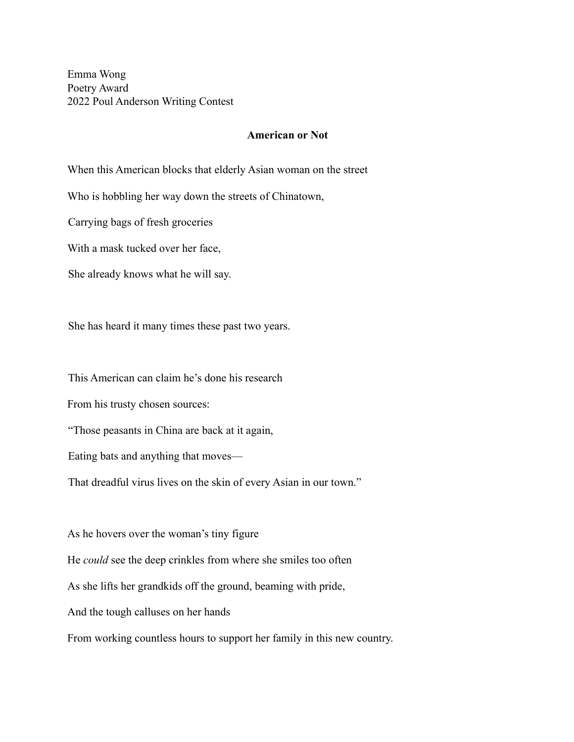Emma Wong Poetry Award 2022 Poul Anderson Writing Contest

## **American or Not**

When this American blocks that elderly Asian woman on the street

Who is hobbling her way down the streets of Chinatown,

Carrying bags of fresh groceries

With a mask tucked over her face,

She already knows what he will say.

She has heard it many times these past two years.

This American can claim he's done his research

From his trusty chosen sources:

"Those peasants in China are back at it again,

Eating bats and anything that moves—

That dreadful virus lives on the skin of every Asian in our town."

As he hovers over the woman's tiny figure

He *could* see the deep crinkles from where she smiles too often

As she lifts her grandkids off the ground, beaming with pride,

And the tough calluses on her hands

From working countless hours to support her family in this new country.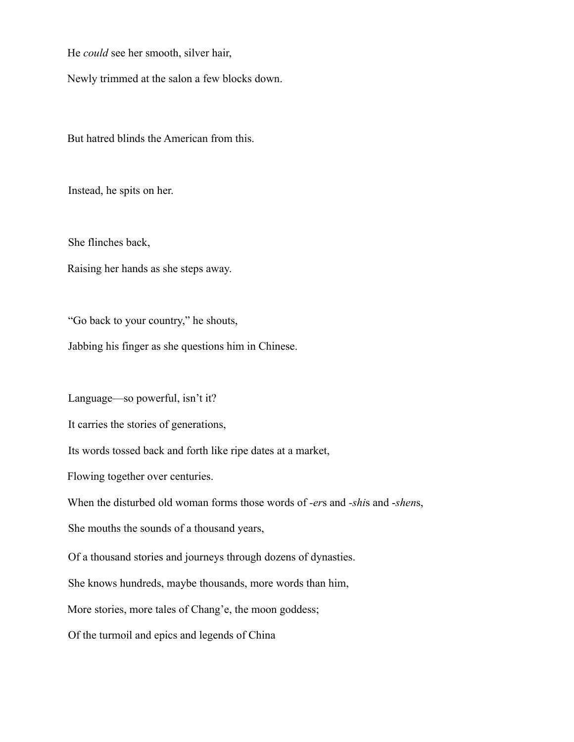He *could* see her smooth, silver hair,

Newly trimmed at the salon a few blocks down.

But hatred blinds the American from this.

Instead, he spits on her.

She flinches back,

Raising her hands as she steps away.

"Go back to your country," he shouts,

Jabbing his finger as she questions him in Chinese.

Language—so powerful, isn't it?

It carries the stories of generations,

Its words tossed back and forth like ripe dates at a market,

Flowing together over centuries.

When the disturbed old woman forms those words of *-er*s and *-shi*s and -*shen*s,

She mouths the sounds of a thousand years,

Of a thousand stories and journeys through dozens of dynasties.

She knows hundreds, maybe thousands, more words than him,

More stories, more tales of Chang'e, the moon goddess;

Of the turmoil and epics and legends of China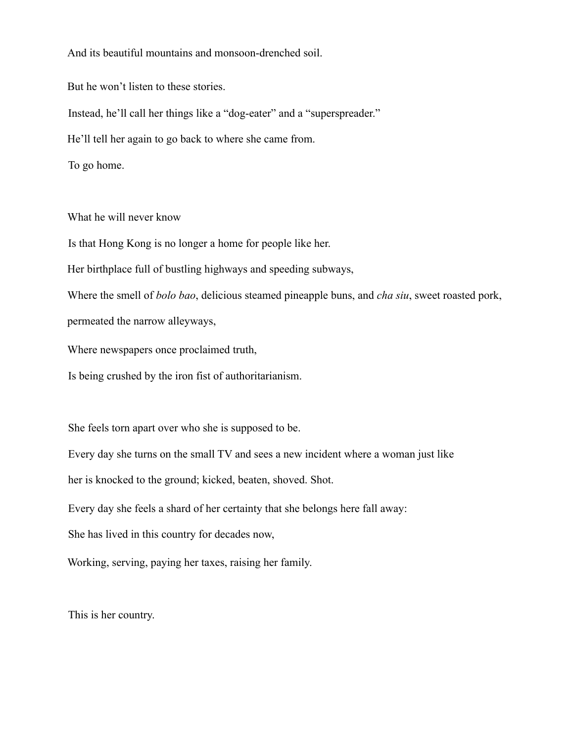And its beautiful mountains and monsoon-drenched soil.

But he won't listen to these stories.

Instead, he'll call her things like a "dog-eater" and a "superspreader."

He'll tell her again to go back to where she came from.

To go home.

What he will never know

Is that Hong Kong is no longer a home for people like her.

Her birthplace full of bustling highways and speeding subways,

Where the smell of *bolo bao*, delicious steamed pineapple buns, and *cha siu*, sweet roasted pork, permeated the narrow alleyways,

Where newspapers once proclaimed truth,

Is being crushed by the iron fist of authoritarianism.

She feels torn apart over who she is supposed to be.

Every day she turns on the small TV and sees a new incident where a woman just like

her is knocked to the ground; kicked, beaten, shoved. Shot.

Every day she feels a shard of her certainty that she belongs here fall away:

She has lived in this country for decades now,

Working, serving, paying her taxes, raising her family.

This is her country.